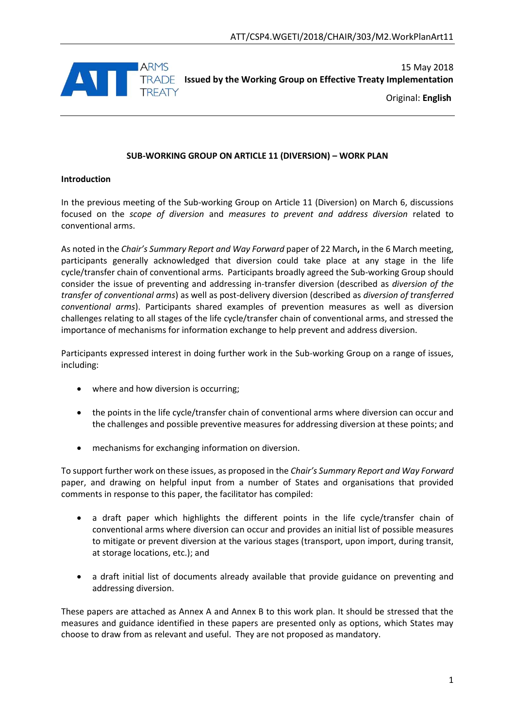

15 May 2018 **IRADE** Issued by the Working Group on Effective Treaty Implementation

Original: **English**

## **SUB-WORKING GROUP ON ARTICLE 11 (DIVERSION) – WORK PLAN**

#### **Introduction**

In the previous meeting of the Sub-working Group on Article 11 (Diversion) on March 6, discussions focused on the *scope of diversion* and *measures to prevent and address diversion* related to conventional arms.

As noted in the *Chair's Summary Report and Way Forward* paper of 22 March**,** in the 6 March meeting, participants generally acknowledged that diversion could take place at any stage in the life cycle/transfer chain of conventional arms. Participants broadly agreed the Sub-working Group should consider the issue of preventing and addressing in-transfer diversion (described as *diversion of the transfer of conventional arms*) as well as post-delivery diversion (described as *diversion of transferred conventional arms*). Participants shared examples of prevention measures as well as diversion challenges relating to all stages of the life cycle/transfer chain of conventional arms, and stressed the importance of mechanisms for information exchange to help prevent and address diversion.

Participants expressed interest in doing further work in the Sub-working Group on a range of issues, including:

- where and how diversion is occurring;
- the points in the life cycle/transfer chain of conventional arms where diversion can occur and the challenges and possible preventive measures for addressing diversion at these points; and
- mechanisms for exchanging information on diversion.

To support further work on these issues, as proposed in the *Chair's Summary Report and Way Forward*  paper, and drawing on helpful input from a number of States and organisations that provided comments in response to this paper, the facilitator has compiled:

- a draft paper which highlights the different points in the life cycle/transfer chain of conventional arms where diversion can occur and provides an initial list of possible measures to mitigate or prevent diversion at the various stages (transport, upon import, during transit, at storage locations, etc.); and
- a draft initial list of documents already available that provide guidance on preventing and addressing diversion.

These papers are attached as Annex A and Annex B to this work plan. It should be stressed that the measures and guidance identified in these papers are presented only as options, which States may choose to draw from as relevant and useful. They are not proposed as mandatory.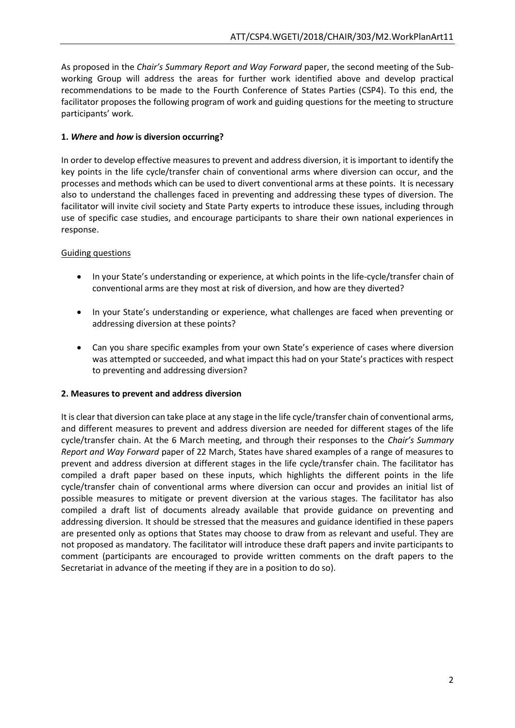As proposed in the *Chair's Summary Report and Way Forward* paper, the second meeting of the Subworking Group will address the areas for further work identified above and develop practical recommendations to be made to the Fourth Conference of States Parties (CSP4). To this end, the facilitator proposes the following program of work and guiding questions for the meeting to structure participants' work.

# **1.** *Where* **and** *how* **is diversion occurring?**

In order to develop effective measures to prevent and address diversion, it is important to identify the key points in the life cycle/transfer chain of conventional arms where diversion can occur, and the processes and methods which can be used to divert conventional arms at these points. It is necessary also to understand the challenges faced in preventing and addressing these types of diversion. The facilitator will invite civil society and State Party experts to introduce these issues, including through use of specific case studies, and encourage participants to share their own national experiences in response.

# Guiding questions

- In your State's understanding or experience, at which points in the life-cycle/transfer chain of conventional arms are they most at risk of diversion, and how are they diverted?
- In your State's understanding or experience, what challenges are faced when preventing or addressing diversion at these points?
- Can you share specific examples from your own State's experience of cases where diversion was attempted or succeeded, and what impact this had on your State's practices with respect to preventing and addressing diversion?

## **2. Measures to prevent and address diversion**

It is clear that diversion can take place at any stage in the life cycle/transfer chain of conventional arms, and different measures to prevent and address diversion are needed for different stages of the life cycle/transfer chain. At the 6 March meeting, and through their responses to the *Chair's Summary Report and Way Forward* paper of 22 March, States have shared examples of a range of measures to prevent and address diversion at different stages in the life cycle/transfer chain. The facilitator has compiled a draft paper based on these inputs, which highlights the different points in the life cycle/transfer chain of conventional arms where diversion can occur and provides an initial list of possible measures to mitigate or prevent diversion at the various stages. The facilitator has also compiled a draft list of documents already available that provide guidance on preventing and addressing diversion. It should be stressed that the measures and guidance identified in these papers are presented only as options that States may choose to draw from as relevant and useful. They are not proposed as mandatory. The facilitator will introduce these draft papers and invite participants to comment (participants are encouraged to provide written comments on the draft papers to the Secretariat in advance of the meeting if they are in a position to do so).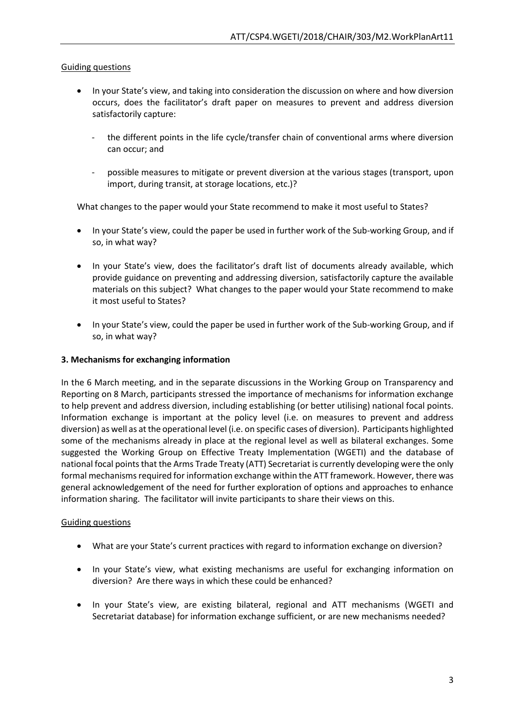## Guiding questions

- In your State's view, and taking into consideration the discussion on where and how diversion occurs, does the facilitator's draft paper on measures to prevent and address diversion satisfactorily capture:
	- the different points in the life cycle/transfer chain of conventional arms where diversion can occur; and
	- possible measures to mitigate or prevent diversion at the various stages (transport, upon import, during transit, at storage locations, etc.)?

What changes to the paper would your State recommend to make it most useful to States?

- In your State's view, could the paper be used in further work of the Sub-working Group, and if so, in what way?
- In your State's view, does the facilitator's draft list of documents already available, which provide guidance on preventing and addressing diversion, satisfactorily capture the available materials on this subject? What changes to the paper would your State recommend to make it most useful to States?
- In your State's view, could the paper be used in further work of the Sub-working Group, and if so, in what way?

#### **3. Mechanisms for exchanging information**

In the 6 March meeting, and in the separate discussions in the Working Group on Transparency and Reporting on 8 March, participants stressed the importance of mechanisms for information exchange to help prevent and address diversion, including establishing (or better utilising) national focal points. Information exchange is important at the policy level (i.e. on measures to prevent and address diversion) as well as at the operational level (i.e. on specific cases of diversion). Participants highlighted some of the mechanisms already in place at the regional level as well as bilateral exchanges. Some suggested the Working Group on Effective Treaty Implementation (WGETI) and the database of national focal points that the Arms Trade Treaty (ATT) Secretariat is currently developing were the only formal mechanisms required for information exchange within the ATT framework. However, there was general acknowledgement of the need for further exploration of options and approaches to enhance information sharing. The facilitator will invite participants to share their views on this.

#### Guiding questions

- What are your State's current practices with regard to information exchange on diversion?
- In your State's view, what existing mechanisms are useful for exchanging information on diversion? Are there ways in which these could be enhanced?
- In your State's view, are existing bilateral, regional and ATT mechanisms (WGETI and Secretariat database) for information exchange sufficient, or are new mechanisms needed?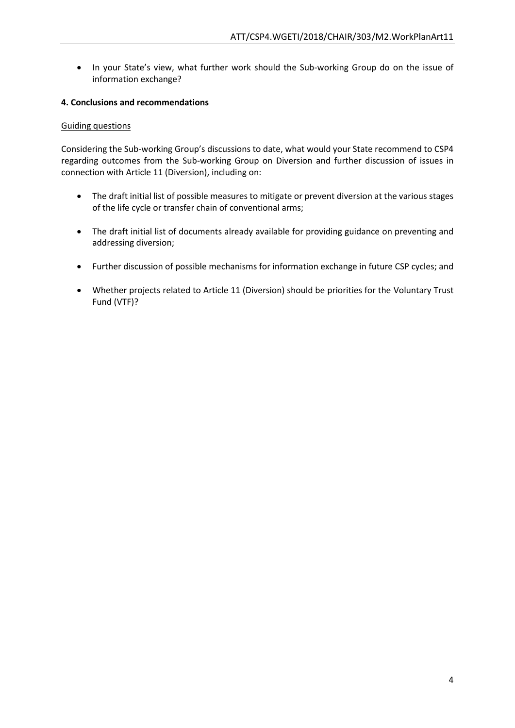• In your State's view, what further work should the Sub-working Group do on the issue of information exchange?

## **4. Conclusions and recommendations**

#### Guiding questions

Considering the Sub-working Group's discussions to date, what would your State recommend to CSP4 regarding outcomes from the Sub-working Group on Diversion and further discussion of issues in connection with Article 11 (Diversion), including on:

- The draft initial list of possible measures to mitigate or prevent diversion at the various stages of the life cycle or transfer chain of conventional arms;
- The draft initial list of documents already available for providing guidance on preventing and addressing diversion;
- Further discussion of possible mechanisms for information exchange in future CSP cycles; and
- Whether projects related to Article 11 (Diversion) should be priorities for the Voluntary Trust Fund (VTF)?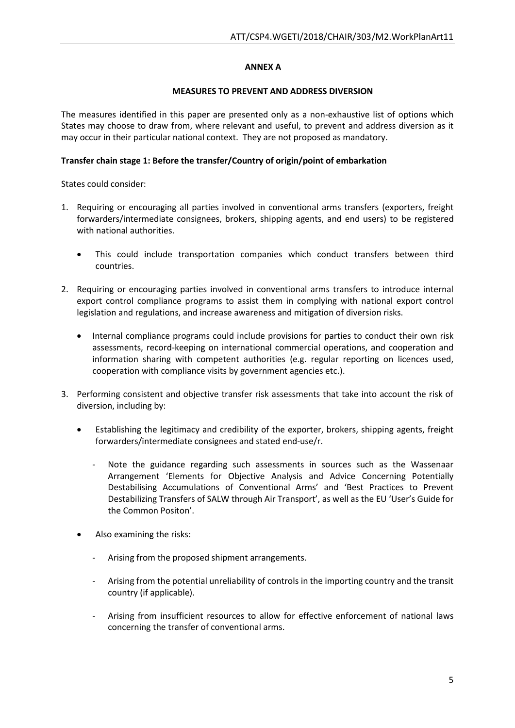## **ANNEX A**

#### **MEASURES TO PREVENT AND ADDRESS DIVERSION**

The measures identified in this paper are presented only as a non-exhaustive list of options which States may choose to draw from, where relevant and useful, to prevent and address diversion as it may occur in their particular national context. They are not proposed as mandatory.

#### **Transfer chain stage 1: Before the transfer/Country of origin/point of embarkation**

States could consider:

- 1. Requiring or encouraging all parties involved in conventional arms transfers (exporters, freight forwarders/intermediate consignees, brokers, shipping agents, and end users) to be registered with national authorities.
	- This could include transportation companies which conduct transfers between third countries.
- 2. Requiring or encouraging parties involved in conventional arms transfers to introduce internal export control compliance programs to assist them in complying with national export control legislation and regulations, and increase awareness and mitigation of diversion risks.
	- Internal compliance programs could include provisions for parties to conduct their own risk assessments, record-keeping on international commercial operations, and cooperation and information sharing with competent authorities (e.g. regular reporting on licences used, cooperation with compliance visits by government agencies etc.).
- 3. Performing consistent and objective transfer risk assessments that take into account the risk of diversion, including by:
	- Establishing the legitimacy and credibility of the exporter, brokers, shipping agents, freight forwarders/intermediate consignees and stated end-use/r.
		- Note the guidance regarding such assessments in sources such as the Wassenaar Arrangement 'Elements for Objective Analysis and Advice Concerning Potentially Destabilising Accumulations of Conventional Arms' and 'Best Practices to Prevent Destabilizing Transfers of SALW through Air Transport', as well as the EU 'User's Guide for the Common Positon'.
	- Also examining the risks:
		- Arising from the proposed shipment arrangements.
		- Arising from the potential unreliability of controls in the importing country and the transit country (if applicable).
		- Arising from insufficient resources to allow for effective enforcement of national laws concerning the transfer of conventional arms.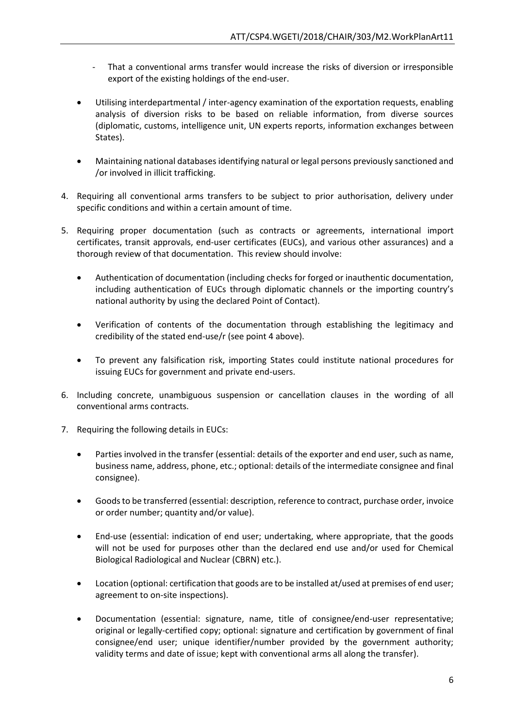- That a conventional arms transfer would increase the risks of diversion or irresponsible export of the existing holdings of the end-user.
- Utilising interdepartmental / inter-agency examination of the exportation requests, enabling analysis of diversion risks to be based on reliable information, from diverse sources (diplomatic, customs, intelligence unit, UN experts reports, information exchanges between States).
- Maintaining national databases identifying natural or legal persons previously sanctioned and /or involved in illicit trafficking.
- 4. Requiring all conventional arms transfers to be subject to prior authorisation, delivery under specific conditions and within a certain amount of time.
- 5. Requiring proper documentation (such as contracts or agreements, international import certificates, transit approvals, end-user certificates (EUCs), and various other assurances) and a thorough review of that documentation. This review should involve:
	- Authentication of documentation (including checks for forged or inauthentic documentation, including authentication of EUCs through diplomatic channels or the importing country's national authority by using the declared Point of Contact).
	- Verification of contents of the documentation through establishing the legitimacy and credibility of the stated end-use/r (see point 4 above).
	- To prevent any falsification risk, importing States could institute national procedures for issuing EUCs for government and private end-users.
- 6. Including concrete, unambiguous suspension or cancellation clauses in the wording of all conventional arms contracts.
- 7. Requiring the following details in EUCs:
	- Parties involved in the transfer (essential: details of the exporter and end user, such as name, business name, address, phone, etc.; optional: details of the intermediate consignee and final consignee).
	- Goods to be transferred (essential: description, reference to contract, purchase order, invoice or order number; quantity and/or value).
	- End-use (essential: indication of end user; undertaking, where appropriate, that the goods will not be used for purposes other than the declared end use and/or used for Chemical Biological Radiological and Nuclear (CBRN) etc.).
	- Location (optional: certification that goods are to be installed at/used at premises of end user; agreement to on-site inspections).
	- Documentation (essential: signature, name, title of consignee/end-user representative; original or legally-certified copy; optional: signature and certification by government of final consignee/end user; unique identifier/number provided by the government authority; validity terms and date of issue; kept with conventional arms all along the transfer).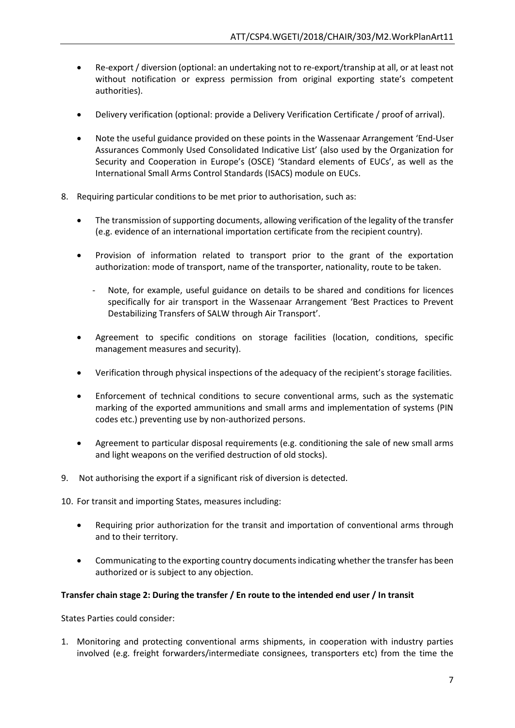- Re-export / diversion (optional: an undertaking not to re-export/tranship at all, or at least not without notification or express permission from original exporting state's competent authorities).
- Delivery verification (optional: provide a Delivery Verification Certificate / proof of arrival).
- Note the useful guidance provided on these points in the Wassenaar Arrangement 'End-User Assurances Commonly Used Consolidated Indicative List' (also used by the Organization for Security and Cooperation in Europe's (OSCE) 'Standard elements of EUCs', as well as the International Small Arms Control Standards (ISACS) module on EUCs.
- 8. Requiring particular conditions to be met prior to authorisation, such as:
	- The transmission of supporting documents, allowing verification of the legality of the transfer (e.g. evidence of an international importation certificate from the recipient country).
	- Provision of information related to transport prior to the grant of the exportation authorization: mode of transport, name of the transporter, nationality, route to be taken.
		- Note, for example, useful guidance on details to be shared and conditions for licences specifically for air transport in the Wassenaar Arrangement 'Best Practices to Prevent Destabilizing Transfers of SALW through Air Transport'.
	- Agreement to specific conditions on storage facilities (location, conditions, specific management measures and security).
	- Verification through physical inspections of the adequacy of the recipient's storage facilities.
	- Enforcement of technical conditions to secure conventional arms, such as the systematic marking of the exported ammunitions and small arms and implementation of systems (PIN codes etc.) preventing use by non-authorized persons.
	- Agreement to particular disposal requirements (e.g. conditioning the sale of new small arms and light weapons on the verified destruction of old stocks).
- 9. Not authorising the export if a significant risk of diversion is detected.

10. For transit and importing States, measures including:

- Requiring prior authorization for the transit and importation of conventional arms through and to their territory.
- Communicating to the exporting country documents indicating whether the transfer has been authorized or is subject to any objection.

#### **Transfer chain stage 2: During the transfer / En route to the intended end user / In transit**

States Parties could consider:

1. Monitoring and protecting conventional arms shipments, in cooperation with industry parties involved (e.g. freight forwarders/intermediate consignees, transporters etc) from the time the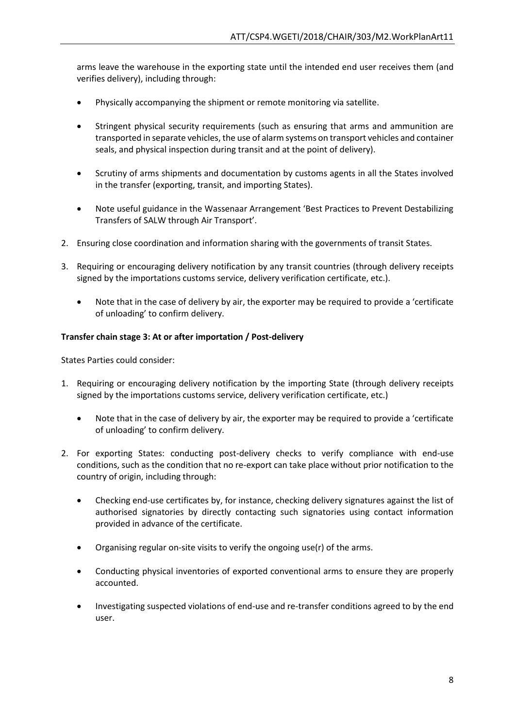arms leave the warehouse in the exporting state until the intended end user receives them (and verifies delivery), including through:

- Physically accompanying the shipment or remote monitoring via satellite.
- Stringent physical security requirements (such as ensuring that arms and ammunition are transported in separate vehicles, the use of alarm systems on transport vehicles and container seals, and physical inspection during transit and at the point of delivery).
- Scrutiny of arms shipments and documentation by customs agents in all the States involved in the transfer (exporting, transit, and importing States).
- Note useful guidance in the Wassenaar Arrangement 'Best Practices to Prevent Destabilizing Transfers of SALW through Air Transport'.
- 2. Ensuring close coordination and information sharing with the governments of transit States.
- 3. Requiring or encouraging delivery notification by any transit countries (through delivery receipts signed by the importations customs service, delivery verification certificate, etc.).
	- Note that in the case of delivery by air, the exporter may be required to provide a 'certificate of unloading' to confirm delivery.

## **Transfer chain stage 3: At or after importation / Post-delivery**

States Parties could consider:

- 1. Requiring or encouraging delivery notification by the importing State (through delivery receipts signed by the importations customs service, delivery verification certificate, etc.)
	- Note that in the case of delivery by air, the exporter may be required to provide a 'certificate of unloading' to confirm delivery.
- 2. For exporting States: conducting post-delivery checks to verify compliance with end-use conditions, such as the condition that no re-export can take place without prior notification to the country of origin, including through:
	- Checking end-use certificates by, for instance, checking delivery signatures against the list of authorised signatories by directly contacting such signatories using contact information provided in advance of the certificate.
	- Organising regular on-site visits to verify the ongoing use(r) of the arms.
	- Conducting physical inventories of exported conventional arms to ensure they are properly accounted.
	- Investigating suspected violations of end-use and re-transfer conditions agreed to by the end user.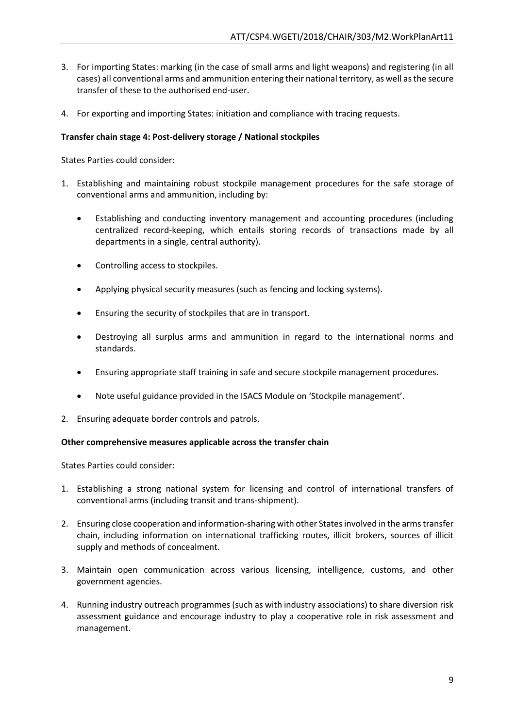- 3. For importing States: marking (in the case of small arms and light weapons) and registering (in all cases) all conventional arms and ammunition entering their national territory, as well as the secure transfer of these to the authorised end-user.
- 4. For exporting and importing States: initiation and compliance with tracing requests.

# **Transfer chain stage 4: Post-delivery storage / National stockpiles**

States Parties could consider:

- 1. Establishing and maintaining robust stockpile management procedures for the safe storage of conventional arms and ammunition, including by:
	- Establishing and conducting inventory management and accounting procedures (including centralized record-keeping, which entails storing records of transactions made by all departments in a single, central authority).
	- Controlling access to stockpiles.
	- Applying physical security measures (such as fencing and locking systems).
	- Ensuring the security of stockpiles that are in transport.
	- Destroying all surplus arms and ammunition in regard to the international norms and standards.
	- Ensuring appropriate staff training in safe and secure stockpile management procedures.
	- Note useful guidance provided in the ISACS Module on 'Stockpile management'.
- 2. Ensuring adequate border controls and patrols.

## **Other comprehensive measures applicable across the transfer chain**

States Parties could consider:

- 1. Establishing a strong national system for licensing and control of international transfers of conventional arms (including transit and trans-shipment).
- 2. Ensuring close cooperation and information-sharing with other States involved in the arms transfer chain, including information on international trafficking routes, illicit brokers, sources of illicit supply and methods of concealment.
- 3. Maintain open communication across various licensing, intelligence, customs, and other government agencies.
- 4. Running industry outreach programmes (such as with industry associations) to share diversion risk assessment guidance and encourage industry to play a cooperative role in risk assessment and management.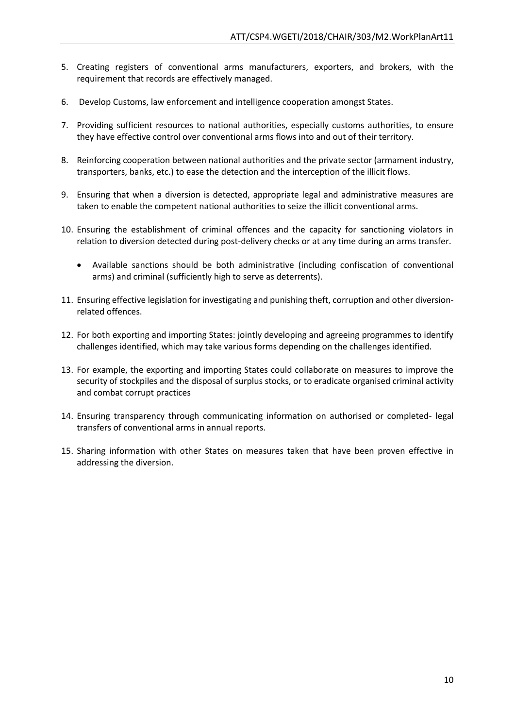- 5. Creating registers of conventional arms manufacturers, exporters, and brokers, with the requirement that records are effectively managed.
- 6. Develop Customs, law enforcement and intelligence cooperation amongst States.
- 7. Providing sufficient resources to national authorities, especially customs authorities, to ensure they have effective control over conventional arms flows into and out of their territory.
- 8. Reinforcing cooperation between national authorities and the private sector (armament industry, transporters, banks, etc.) to ease the detection and the interception of the illicit flows.
- 9. Ensuring that when a diversion is detected, appropriate legal and administrative measures are taken to enable the competent national authorities to seize the illicit conventional arms.
- 10. Ensuring the establishment of criminal offences and the capacity for sanctioning violators in relation to diversion detected during post-delivery checks or at any time during an arms transfer.
	- Available sanctions should be both administrative (including confiscation of conventional arms) and criminal (sufficiently high to serve as deterrents).
- 11. Ensuring effective legislation for investigating and punishing theft, corruption and other diversionrelated offences.
- 12. For both exporting and importing States: jointly developing and agreeing programmes to identify challenges identified, which may take various forms depending on the challenges identified.
- 13. For example, the exporting and importing States could collaborate on measures to improve the security of stockpiles and the disposal of surplus stocks, or to eradicate organised criminal activity and combat corrupt practices
- 14. Ensuring transparency through communicating information on authorised or completed- legal transfers of conventional arms in annual reports.
- 15. Sharing information with other States on measures taken that have been proven effective in addressing the diversion.